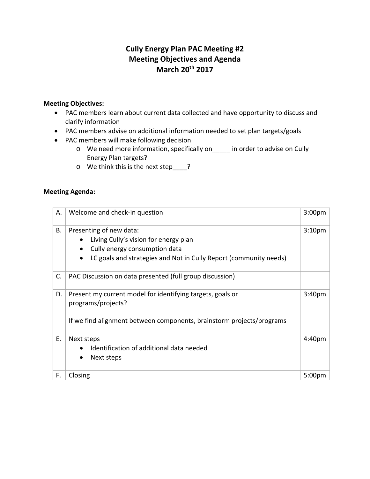# **Cully Energy Plan PAC Meeting #2 Meeting Objectives and Agenda March 20th 2017**

## **Meeting Objectives:**

- PAC members learn about current data collected and have opportunity to discuss and clarify information
- PAC members advise on additional information needed to set plan targets/goals
- PAC members will make following decision
	- o We need more information, specifically on\_\_\_\_\_ in order to advise on Cully Energy Plan targets?
	- o We think this is the next step\_\_\_\_?

## **Meeting Agenda:**

| А. | Welcome and check-in question                                                                                                                                                                         | 3:00 <sub>pm</sub> |
|----|-------------------------------------------------------------------------------------------------------------------------------------------------------------------------------------------------------|--------------------|
| В. | Presenting of new data:<br>Living Cully's vision for energy plan<br>$\bullet$<br>Cully energy consumption data<br>$\bullet$<br>LC goals and strategies and Not in Cully Report (community needs)<br>٠ | 3:10 <sub>pm</sub> |
| C. | PAC Discussion on data presented (full group discussion)                                                                                                                                              |                    |
| D. | Present my current model for identifying targets, goals or<br>programs/projects?<br>If we find alignment between components, brainstorm projects/programs                                             | 3:40 <sub>pm</sub> |
| Е. | Next steps<br>Identification of additional data needed<br>Next steps<br>$\bullet$                                                                                                                     | 4:40 <sub>pm</sub> |
| F. | Closing                                                                                                                                                                                               | 5:00 <sub>pm</sub> |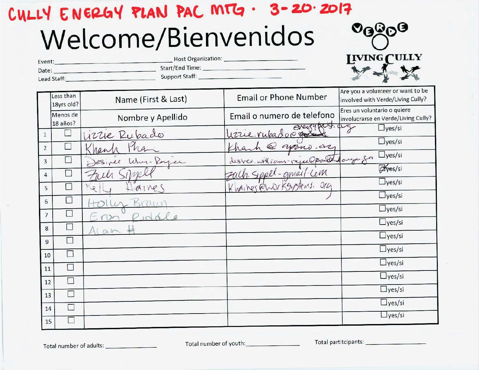# CULLY ENERGY PLAN PAC MTG .  $3 - 20.2017$ Welcome/Bienvenidos



| Event:      | Host Organization: | <b>IIVING</b> |
|-------------|--------------------|---------------|
| Date:       | Start/End Time:    | 14.13         |
| Lead Staff: | Support Staff:     | ER E          |

|                |                         |                     |                                | Are you a volunteer or want to be                                  |
|----------------|-------------------------|---------------------|--------------------------------|--------------------------------------------------------------------|
|                | Less than<br>18yrs old? | Name (First & Last) | <b>Email or Phone Number</b>   | involved with Verde/Living Cully?                                  |
|                | Menos de<br>18 años?    | Nombre y Apellido   | Email o numero de telefono     | Eres un voluntario o quiere<br>involucrarse en Verde/Living Cully? |
| $\mathbf{1}$   | T                       | Lizzie Rubado       | tat.t.g<br>Uzrie rubado@ grece | $\Box$ yes/si                                                      |
| $\overline{2}$ | B                       |                     | groves.az                      | $\Box$ yes/si                                                      |
| 3              |                         | Rayer               | ians-vajue@portlandough for    | $\Box$ yes/si                                                      |
| 4              |                         |                     | gmail·Cem                      | Ayes/si                                                            |
| 5              |                         | Ke<br>A1Me          | O(10)<br>Khaines               | $\exists$ yes/si                                                   |
| 6              | i.                      |                     |                                | $\Box$ yes/si                                                      |
| $\overline{7}$ |                         |                     |                                | $\Box$ yes/si                                                      |
| 8              | $\Box$                  |                     |                                | $\Box$ yes/si                                                      |
|                | n                       | $O\Lambda$          |                                | $\Box$ yes/si                                                      |
| 9              | $\Box$                  |                     |                                | $\Box$ yes/si                                                      |
| 10             | П                       |                     |                                | $\Box$ yes/si                                                      |
| 11             |                         |                     |                                | $\Box$ yes/si                                                      |
| 12             | L.                      |                     |                                | $\Box$ yes/si                                                      |
| 13             | П                       |                     |                                | $\Box$ yes/si                                                      |
| 14             | $\Box$                  |                     |                                | $\Box$ yes/si                                                      |
| 15             | P                       |                     |                                |                                                                    |

Total number of adults: \_\_\_\_\_\_\_\_\_\_\_\_\_\_\_\_

Total partitcipants: \_\_\_\_\_\_